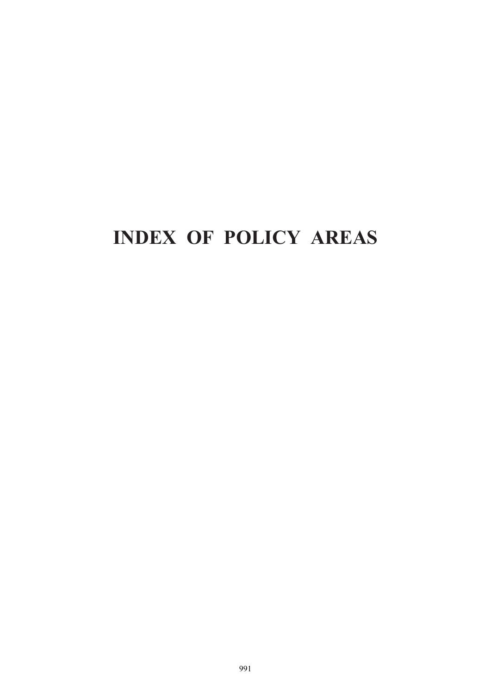## **INDEX OF POLICY AREAS**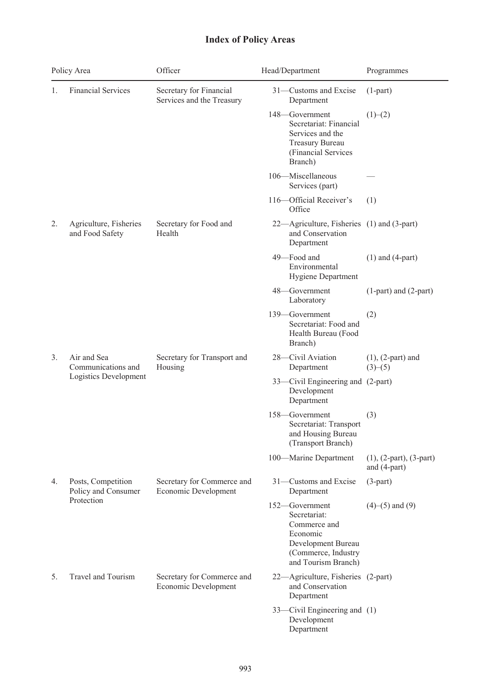## **Index of Policy Areas**

| Policy Area |                                                            | Officer                                              | Head/Department                                                                                                                | Programmes                                  |
|-------------|------------------------------------------------------------|------------------------------------------------------|--------------------------------------------------------------------------------------------------------------------------------|---------------------------------------------|
| 1.          | <b>Financial Services</b>                                  | Secretary for Financial<br>Services and the Treasury | 31-Customs and Excise<br>Department                                                                                            | $(1-part)$                                  |
|             |                                                            |                                                      | 148-Government<br>Secretariat: Financial<br>Services and the<br>Treasury Bureau<br>(Financial Services<br>Branch)              | (1)–(2)                                     |
|             |                                                            |                                                      | 106-Miscellaneous<br>Services (part)                                                                                           |                                             |
|             |                                                            |                                                      | 116-Official Receiver's<br>Office                                                                                              | (1)                                         |
| 2.          | Agriculture, Fisheries<br>and Food Safety                  | Secretary for Food and<br>Health                     | 22—Agriculture, Fisheries (1) and (3-part)<br>and Conservation<br>Department                                                   |                                             |
|             |                                                            |                                                      | 49-Food and<br>Environmental<br>Hygiene Department                                                                             | $(1)$ and $(4-part)$                        |
|             |                                                            |                                                      | 48-Government<br>Laboratory                                                                                                    | (1-part) and (2-part)                       |
|             |                                                            |                                                      | 139-Government<br>Secretariat: Food and<br>Health Bureau (Food<br>Branch)                                                      | (2)                                         |
| 3.          | Air and Sea<br>Communications and<br>Logistics Development | Secretary for Transport and<br>Housing               | 28-Civil Aviation<br>Department                                                                                                | $(1)$ , $(2$ -part) and<br>(3)–(5)          |
|             |                                                            |                                                      | 33—Civil Engineering and (2-part)<br>Development<br>Department                                                                 |                                             |
|             |                                                            |                                                      | 158-Government<br>Secretariat: Transport<br>and Housing Bureau<br>(Transport Branch)                                           | (3)                                         |
|             |                                                            |                                                      | 100-Marine Department                                                                                                          | $(1), (2-part), (3-part)$<br>and $(4-part)$ |
| 4.          | Posts, Competition<br>Policy and Consumer                  | Secretary for Commerce and<br>Economic Development   | 31-Customs and Excise<br>Department                                                                                            | $(3-part)$                                  |
|             | Protection                                                 |                                                      | 152-Government<br>Secretariat:<br>Commerce and<br>Economic<br>Development Bureau<br>(Commerce, Industry<br>and Tourism Branch) | $(4)–(5)$ and $(9)$                         |
| 5.          | Travel and Tourism                                         | Secretary for Commerce and<br>Economic Development   | 22—Agriculture, Fisheries (2-part)<br>and Conservation<br>Department                                                           |                                             |
|             |                                                            |                                                      | 33—Civil Engineering and (1)<br>Development<br>Department                                                                      |                                             |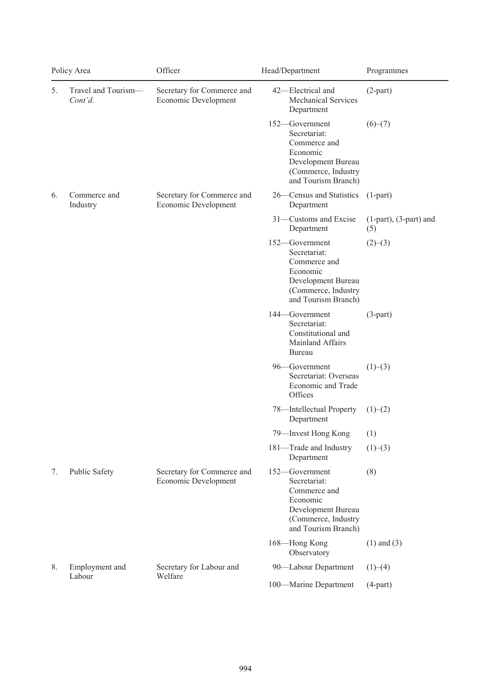| Policy Area |                                | Officer                                            | Head/Department                                                                                                                       | Programmes                  |
|-------------|--------------------------------|----------------------------------------------------|---------------------------------------------------------------------------------------------------------------------------------------|-----------------------------|
| 5.          | Travel and Tourism-<br>Cont'd. | Secretary for Commerce and<br>Economic Development | 42-Electrical and<br><b>Mechanical Services</b><br>Department                                                                         | $(2-part)$                  |
|             |                                |                                                    | 152-Government<br>Secretariat:<br>Commerce and<br>Economic<br>Development Bureau<br>(Commerce, Industry<br>and Tourism Branch)        | $(6)-(7)$                   |
| 6.          | Commerce and<br>Industry       | Secretary for Commerce and<br>Economic Development | 26—Census and Statistics<br>Department                                                                                                | $(1-part)$                  |
|             |                                |                                                    | 31-Customs and Excise<br>Department<br>(5)                                                                                            | $(1-part)$ , $(3-part)$ and |
|             |                                |                                                    | 152-Government<br>Secretariat:<br>Commerce and<br>Economic<br>Development Bureau<br>(Commerce, Industry<br>and Tourism Branch)        | (2)–(3)                     |
|             |                                |                                                    | 144–Government<br>Secretariat:<br>Constitutional and<br>Mainland Affairs<br>Bureau                                                    | $(3-part)$                  |
|             |                                |                                                    | 96-Government<br>Secretariat: Overseas<br>Economic and Trade<br>Offices                                                               | (1)–(3)                     |
|             |                                |                                                    | 78-Intellectual Property<br>Department                                                                                                | (1)–(2)                     |
|             |                                |                                                    | 79—Invest Hong Kong<br>(1)                                                                                                            |                             |
|             |                                |                                                    | 181-Trade and Industry<br>Department                                                                                                  | (1)–(3)                     |
| 7.          | Public Safety                  | Secretary for Commerce and<br>Economic Development | 152-Government<br>(8)<br>Secretariat:<br>Commerce and<br>Economic<br>Development Bureau<br>(Commerce, Industry<br>and Tourism Branch) |                             |
|             |                                |                                                    | 168-Hong Kong<br>Observatory                                                                                                          | $(1)$ and $(3)$             |
| 8.          | Employment and                 | Secretary for Labour and<br>Welfare                | 90-Labour Department                                                                                                                  | (1)–(4)                     |
|             | Labour                         |                                                    | 100-Marine Department                                                                                                                 | $(4-part)$                  |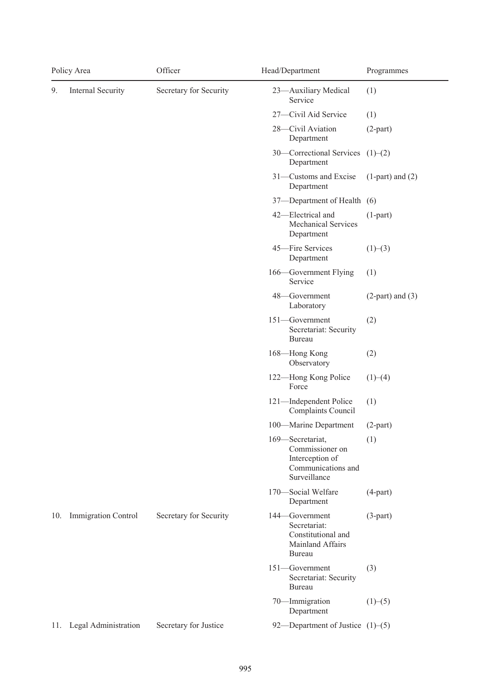| Policy Area |                                             | Officer                | Head/Department                                                                              | Programmes            |
|-------------|---------------------------------------------|------------------------|----------------------------------------------------------------------------------------------|-----------------------|
| 9.          | Internal Security<br>Secretary for Security |                        | 23-Auxiliary Medical<br>Service                                                              | (1)                   |
|             |                                             |                        | 27-Civil Aid Service                                                                         | (1)                   |
|             |                                             |                        | 28-Civil Aviation<br>Department                                                              | $(2-part)$            |
|             |                                             |                        | 30—Correctional Services<br>Department                                                       | (1)–(2)               |
|             |                                             |                        | 31-Customs and Excise<br>Department                                                          | $(1$ -part) and $(2)$ |
|             |                                             |                        | 37—Department of Health (6)                                                                  |                       |
|             |                                             |                        | 42-Electrical and<br><b>Mechanical Services</b><br>Department                                | $(1-part)$            |
|             |                                             |                        | 45-Fire Services<br>Department                                                               | (1)–(3)               |
|             |                                             |                        | 166—Government Flying<br>Service                                                             | (1)                   |
|             |                                             |                        | 48-Government<br>Laboratory                                                                  | $(2-part)$ and $(3)$  |
|             |                                             |                        | 151-Government<br>Secretariat: Security<br>Bureau                                            | (2)                   |
|             |                                             |                        | 168-Hong Kong<br>Observatory                                                                 | (2)                   |
|             |                                             |                        | 122-Hong Kong Police<br>Force                                                                | (1)–(4)               |
|             |                                             |                        | 121-Independent Police<br>Complaints Council                                                 | (1)                   |
|             |                                             |                        | 100-Marine Department                                                                        | $(2-part)$            |
|             |                                             |                        | 169-Secretariat,<br>Commissioner on<br>Interception of<br>Communications and<br>Surveillance | (1)                   |
|             |                                             |                        | 170-Social Welfare<br>Department                                                             | $(4-part)$            |
| 10.         | Immigration Control                         | Secretary for Security | 144-Government<br>Secretariat:<br>Constitutional and<br>Mainland Affairs<br><b>Bureau</b>    | $(3-part)$            |
|             |                                             |                        | 151-Government<br>Secretariat: Security<br>Bureau                                            | (3)                   |
|             |                                             |                        | 70-Immigration<br>Department                                                                 | (1)–(5)               |
|             | 11. Legal Administration                    | Secretary for Justice  | 92—Department of Justice $(1)$ – $(5)$                                                       |                       |

L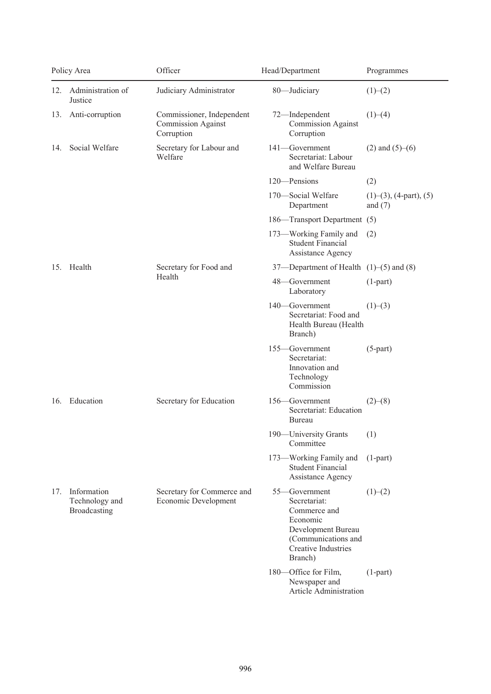| Policy Area |                                               | Officer                                                              | Head/Department                                                                                                                          | Programmes                                      |
|-------------|-----------------------------------------------|----------------------------------------------------------------------|------------------------------------------------------------------------------------------------------------------------------------------|-------------------------------------------------|
| 12.         | Administration of<br>Justice                  | Judiciary Administrator                                              | 80-Judiciary                                                                                                                             | (1)–(2)                                         |
|             | 13. Anti-corruption                           | Commissioner, Independent<br><b>Commission Against</b><br>Corruption | 72-Independent<br><b>Commission Against</b><br>Corruption                                                                                | (1)–(4)                                         |
| 14.         | Social Welfare                                | Secretary for Labour and<br>Welfare                                  | 141-Government<br>Secretariat: Labour<br>and Welfare Bureau                                                                              | $(2)$ and $(5)–(6)$                             |
|             |                                               |                                                                      | 120-Pensions                                                                                                                             | (2)                                             |
|             |                                               |                                                                      | 170-Social Welfare<br>Department                                                                                                         | $(1)$ – $(3)$ , $(4$ -part), $(5)$<br>and $(7)$ |
|             |                                               |                                                                      | 186—Transport Department (5)                                                                                                             |                                                 |
|             |                                               |                                                                      | 173-Working Family and<br><b>Student Financial</b><br>Assistance Agency                                                                  | (2)                                             |
| 15.         | Health                                        | Secretary for Food and<br>Health                                     | 37—Department of Health (1)–(5) and (8)                                                                                                  |                                                 |
|             |                                               |                                                                      | 48-Government<br>Laboratory                                                                                                              | $(1-part)$                                      |
|             |                                               |                                                                      | 140-Government<br>Secretariat: Food and<br>Health Bureau (Health<br>Branch)                                                              | (1)–(3)                                         |
|             |                                               |                                                                      | 155-Government<br>Secretariat:<br>Innovation and<br>Technology<br>Commission                                                             | $(5-part)$                                      |
| 16.         | Education                                     | Secretary for Education                                              | 156-Government<br>Secretariat: Education<br>Bureau                                                                                       | (2)–(8)                                         |
|             |                                               |                                                                      | 190—University Grants (1)<br>Committee                                                                                                   |                                                 |
|             |                                               |                                                                      | 173-Working Family and<br><b>Student Financial</b><br>Assistance Agency                                                                  | $(1-part)$                                      |
| 17.         | Information<br>Technology and<br>Broadcasting | Secretary for Commerce and<br>Economic Development                   | 55-Government<br>Secretariat:<br>Commerce and<br>Economic<br>Development Bureau<br>(Communications and<br>Creative Industries<br>Branch) | (1)–(2)                                         |
|             |                                               |                                                                      | 180-Office for Film,<br>Newspaper and<br>Article Administration                                                                          | $(1-part)$                                      |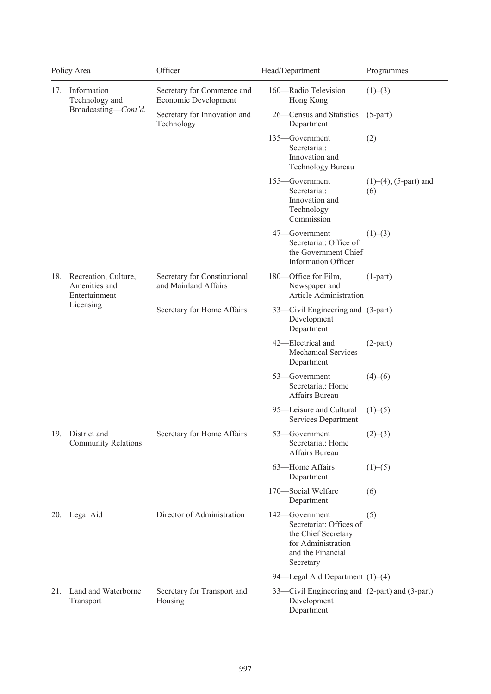| Policy Area |                                                                     | Officer                                              | Head/Department                                                                                                                 | Programmes                      |
|-------------|---------------------------------------------------------------------|------------------------------------------------------|---------------------------------------------------------------------------------------------------------------------------------|---------------------------------|
| 17.         | Information<br>Technology and                                       | Secretary for Commerce and<br>Economic Development   | 160-Radio Television<br>(1)–(3)<br>Hong Kong                                                                                    |                                 |
|             | Broadcasting-Cont'd.                                                | Secretary for Innovation and<br>Technology           | 26-Census and Statistics<br>$(5-part)$<br>Department                                                                            |                                 |
|             |                                                                     |                                                      | 135-Government<br>(2)<br>Secretariat:<br>Innovation and<br>Technology Bureau                                                    |                                 |
|             |                                                                     |                                                      | 155-Government<br>Secretariat:<br>(6)<br>Innovation and<br>Technology<br>Commission                                             | $(1)$ – $(4)$ , $(5$ -part) and |
|             |                                                                     |                                                      | 47-Government<br>(1)–(3)<br>Secretariat: Office of<br>the Government Chief<br><b>Information Officer</b>                        |                                 |
| 18.         | Recreation, Culture,<br>Amenities and<br>Entertainment<br>Licensing | Secretary for Constitutional<br>and Mainland Affairs | 180-Office for Film,<br>$(1-part)$<br>Newspaper and<br>Article Administration                                                   |                                 |
|             |                                                                     | Secretary for Home Affairs                           | 33—Civil Engineering and (3-part)<br>Development<br>Department                                                                  |                                 |
|             |                                                                     |                                                      | 42-Electrical and<br>$(2-part)$<br><b>Mechanical Services</b><br>Department                                                     |                                 |
|             |                                                                     |                                                      | 53-Government<br>(4)–(6)<br>Secretariat: Home<br>Affairs Bureau                                                                 |                                 |
|             |                                                                     |                                                      | 95-Leisure and Cultural<br>(1)–(5)<br>Services Department                                                                       |                                 |
|             | 19. District and<br><b>Community Relations</b>                      | Secretary for Home Affairs                           | 53—Government<br>(2)–(3)<br>Secretariat: Home<br>Affairs Bureau                                                                 |                                 |
|             |                                                                     |                                                      | 63-Home Affairs<br>(1)–(5)<br>Department                                                                                        |                                 |
|             |                                                                     |                                                      | 170-Social Welfare<br>(6)<br>Department                                                                                         |                                 |
|             | 20. Legal Aid                                                       | Director of Administration                           | 142-Government<br>(5)<br>Secretariat: Offices of<br>the Chief Secretary<br>for Administration<br>and the Financial<br>Secretary |                                 |
|             |                                                                     |                                                      | 94-Legal Aid Department (1)-(4)                                                                                                 |                                 |
| 21.         | Land and Waterborne<br>Transport                                    | Secretary for Transport and<br>Housing               | 33—Civil Engineering and (2-part) and (3-part)<br>Development<br>Department                                                     |                                 |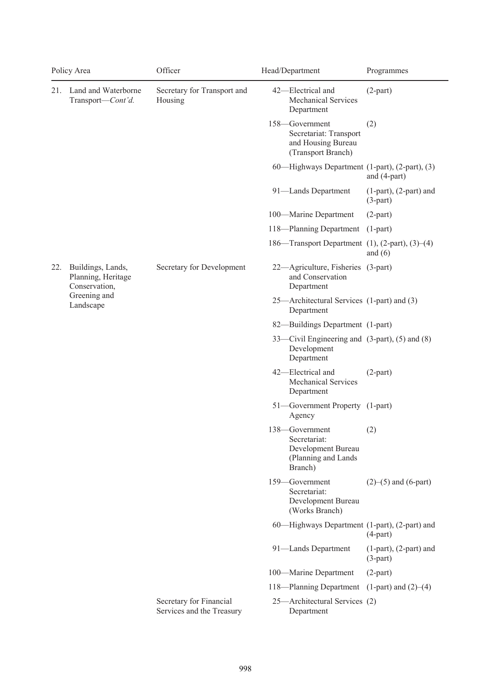|     | Policy Area                                              | Officer                                              | Head/Department                                                                        | Programmes                                |
|-----|----------------------------------------------------------|------------------------------------------------------|----------------------------------------------------------------------------------------|-------------------------------------------|
| 21. | Land and Waterborne<br>Transport-Cont'd.                 | Secretary for Transport and<br>Housing               | 42-Electrical and<br><b>Mechanical Services</b><br>Department                          | $(2-part)$                                |
|     |                                                          |                                                      | 158-Government<br>Secretariat: Transport<br>and Housing Bureau<br>(Transport Branch)   | (2)                                       |
|     |                                                          |                                                      | 60—Highways Department (1-part), (2-part), (3)                                         | and (4-part)                              |
|     |                                                          |                                                      | 91-Lands Department                                                                    | $(1-part)$ , $(2-part)$ and<br>$(3-part)$ |
|     |                                                          |                                                      | 100-Marine Department                                                                  | $(2-part)$                                |
|     |                                                          |                                                      | 118—Planning Department                                                                | $(1-part)$                                |
|     |                                                          |                                                      | 186—Transport Department $(1)$ , $(2$ -part), $(3)$ – $(4)$                            | and $(6)$                                 |
| 22. | Buildings, Lands,<br>Planning, Heritage<br>Conservation, | Secretary for Development                            | 22—Agriculture, Fisheries (3-part)<br>and Conservation<br>Department                   |                                           |
|     | Greening and<br>Landscape                                |                                                      | 25—Architectural Services (1-part) and (3)<br>Department                               |                                           |
|     |                                                          |                                                      | 82—Buildings Department (1-part)                                                       |                                           |
|     |                                                          |                                                      | 33—Civil Engineering and (3-part), (5) and (8)<br>Development<br>Department            |                                           |
|     |                                                          |                                                      | 42-Electrical and<br><b>Mechanical Services</b><br>Department                          | $(2-part)$                                |
|     |                                                          |                                                      | 51-Government Property (1-part)<br>Agency                                              |                                           |
|     |                                                          |                                                      | 138-Government<br>Secretariat:<br>Development Bureau<br>(Planning and Lands<br>Branch) | (2)                                       |
|     |                                                          |                                                      | 159-Government<br>Secretariat:<br>Development Bureau<br>(Works Branch)                 | $(2)$ – $(5)$ and $(6$ -part)             |
|     |                                                          |                                                      | 60—Highways Department (1-part), (2-part) and                                          | $(4-part)$                                |
|     |                                                          |                                                      | 91-Lands Department                                                                    | $(1-part)$ , $(2-part)$ and<br>$(3-part)$ |
|     |                                                          |                                                      | 100-Marine Department                                                                  | $(2-part)$                                |
|     |                                                          |                                                      | 118—Planning Department                                                                | $(1$ -part) and $(2)$ – $(4)$             |
|     |                                                          | Secretary for Financial<br>Services and the Treasury | 25-Architectural Services (2)<br>Department                                            |                                           |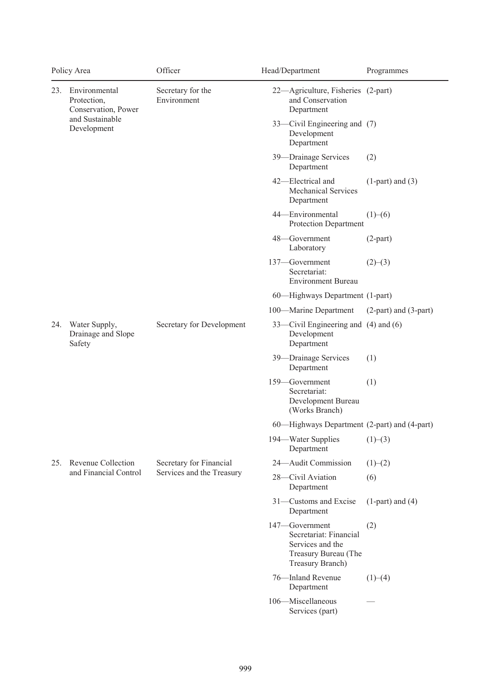| Policy Area |                                                                                       | Officer                                              | Head/Department                                                                                          | Programmes                |
|-------------|---------------------------------------------------------------------------------------|------------------------------------------------------|----------------------------------------------------------------------------------------------------------|---------------------------|
| 23.         | Environmental<br>Protection,<br>Conservation, Power<br>and Sustainable<br>Development | Secretary for the<br>Environment                     | 22-Agriculture, Fisheries (2-part)<br>and Conservation<br>Department                                     |                           |
|             |                                                                                       |                                                      | 33—Civil Engineering and (7)<br>Development<br>Department                                                |                           |
|             |                                                                                       |                                                      | 39-Drainage Services<br>Department                                                                       | (2)                       |
|             |                                                                                       |                                                      | 42-Electrical and<br><b>Mechanical Services</b><br>Department                                            | $(1$ -part) and $(3)$     |
|             |                                                                                       |                                                      | 44-Environmental<br>Protection Department                                                                | (1)–(6)                   |
|             |                                                                                       |                                                      | 48-Government<br>Laboratory                                                                              | $(2-part)$                |
|             |                                                                                       |                                                      | 137-Government<br>Secretariat:<br><b>Environment Bureau</b>                                              | (2)–(3)                   |
|             |                                                                                       |                                                      | 60—Highways Department (1-part)                                                                          |                           |
|             |                                                                                       |                                                      | 100-Marine Department                                                                                    | $(2-part)$ and $(3-part)$ |
| 24.         | Water Supply,<br>Drainage and Slope<br>Safety                                         | Secretary for Development                            | 33—Civil Engineering and (4) and (6)<br>Development<br>Department                                        |                           |
|             |                                                                                       |                                                      | 39-Drainage Services<br>Department                                                                       | (1)                       |
|             |                                                                                       |                                                      | 159-Government<br>Secretariat:<br>Development Bureau<br>(Works Branch)                                   | (1)                       |
|             |                                                                                       |                                                      | 60—Highways Department (2-part) and (4-part)                                                             |                           |
|             |                                                                                       |                                                      | 194—Water Supplies<br>Department                                                                         | (1)–(3)                   |
| 25.         | Revenue Collection                                                                    | Secretary for Financial<br>Services and the Treasury | 24-Audit Commission                                                                                      | (1)–(2)                   |
|             | and Financial Control                                                                 |                                                      | 28-Civil Aviation<br>Department                                                                          | (6)                       |
|             |                                                                                       |                                                      | 31-Customs and Excise<br>Department                                                                      | $(1$ -part) and $(4)$     |
|             |                                                                                       |                                                      | 147-Government<br>Secretariat: Financial<br>Services and the<br>Treasury Bureau (The<br>Treasury Branch) | (2)                       |
|             |                                                                                       |                                                      | 76-Inland Revenue<br>Department                                                                          | (1)–(4)                   |
|             |                                                                                       |                                                      | 106-Miscellaneous<br>Services (part)                                                                     |                           |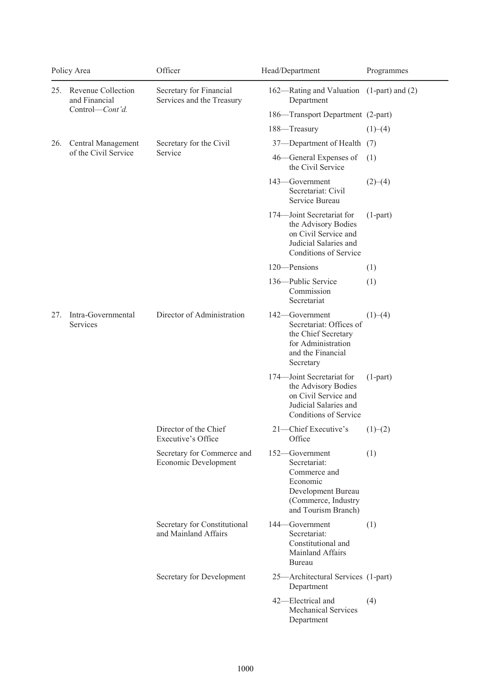| Policy Area |                                     | Officer                                              | Head/Department                                                                                                                | Programmes |
|-------------|-------------------------------------|------------------------------------------------------|--------------------------------------------------------------------------------------------------------------------------------|------------|
| 25.         | Revenue Collection<br>and Financial | Secretary for Financial<br>Services and the Treasury | 162—Rating and Valuation (1-part) and (2)<br>Department                                                                        |            |
|             | Control-Cont'd.                     |                                                      | 186—Transport Department (2-part)                                                                                              |            |
|             |                                     |                                                      | 188-Treasury                                                                                                                   | (1)–(4)    |
| 26.         | Central Management                  | Secretary for the Civil                              | 37-Department of Health (7)                                                                                                    |            |
|             | of the Civil Service                | Service                                              | 46-General Expenses of<br>the Civil Service                                                                                    | (1)        |
|             |                                     |                                                      | 143-Government<br>Secretariat: Civil<br>Service Bureau                                                                         | (2)–(4)    |
|             |                                     |                                                      | 174-Joint Secretariat for<br>the Advisory Bodies<br>on Civil Service and<br>Judicial Salaries and<br>Conditions of Service     | $(1-part)$ |
|             |                                     |                                                      | 120-Pensions                                                                                                                   | (1)        |
|             |                                     |                                                      | 136-Public Service<br>Commission<br>Secretariat                                                                                | (1)        |
| 27.         | Intra-Governmental<br>Services      | Director of Administration                           | 142—Government<br>Secretariat: Offices of<br>the Chief Secretary<br>for Administration<br>and the Financial<br>Secretary       | (1)–(4)    |
|             |                                     |                                                      | 174-Joint Secretariat for<br>the Advisory Bodies<br>on Civil Service and<br>Judicial Salaries and<br>Conditions of Service     | $(1-part)$ |
|             |                                     | Director of the Chief<br>Executive's Office          | 21-Chief Executive's<br>Office                                                                                                 | (1)–(2)    |
|             |                                     | Secretary for Commerce and<br>Economic Development   | 152-Government<br>Secretariat:<br>Commerce and<br>Economic<br>Development Bureau<br>(Commerce, Industry<br>and Tourism Branch) | (1)        |
|             |                                     | Secretary for Constitutional<br>and Mainland Affairs | 144–Government<br>Secretariat:<br>Constitutional and<br>Mainland Affairs<br>Bureau                                             | (1)        |
|             |                                     | Secretary for Development                            | 25-Architectural Services (1-part)<br>Department                                                                               |            |
|             |                                     |                                                      | 42-Electrical and<br><b>Mechanical Services</b><br>Department                                                                  | (4)        |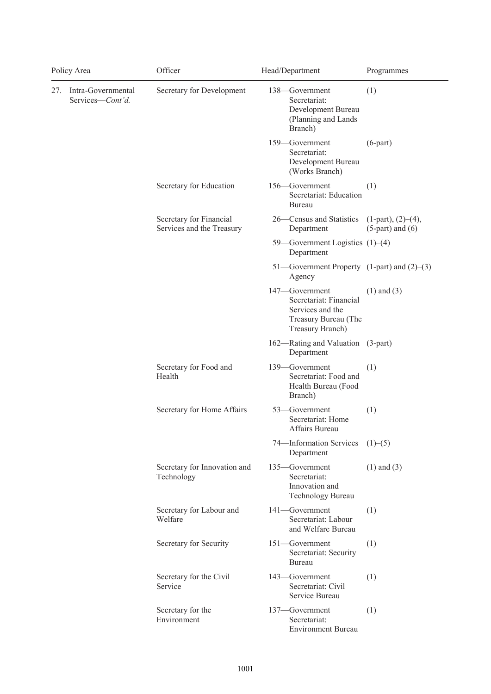| Policy Area |                                        | Officer                                              | Head/Department<br>Programmes                                                                                               |
|-------------|----------------------------------------|------------------------------------------------------|-----------------------------------------------------------------------------------------------------------------------------|
| 27.         | Intra-Governmental<br>Services-Cont'd. | Secretary for Development                            | (1)<br>138—Government<br>Secretariat:<br>Development Bureau<br>(Planning and Lands<br>Branch)                               |
|             |                                        |                                                      | 159-Government<br>$(6$ -part $)$<br>Secretariat:<br>Development Bureau<br>(Works Branch)                                    |
|             |                                        | Secretary for Education                              | 156-Government<br>(1)<br>Secretariat: Education<br>Bureau                                                                   |
|             |                                        | Secretary for Financial<br>Services and the Treasury | 26—Census and Statistics<br>$(1-part)$ , $(2)–(4)$ ,<br>Department<br>$(5$ -part) and $(6)$                                 |
|             |                                        |                                                      | 59—Government Logistics $(1)$ – $(4)$<br>Department                                                                         |
|             |                                        |                                                      | 51—Government Property $(1-part)$ and $(2)–(3)$<br>Agency                                                                   |
|             |                                        |                                                      | 147-Government<br>$(1)$ and $(3)$<br>Secretariat: Financial<br>Services and the<br>Treasury Bureau (The<br>Treasury Branch) |
|             |                                        |                                                      | 162—Rating and Valuation (3-part)<br>Department                                                                             |
|             |                                        | Secretary for Food and<br>Health                     | 139-Government<br>(1)<br>Secretariat: Food and<br>Health Bureau (Food<br>Branch)                                            |
|             |                                        | Secretary for Home Affairs                           | 53-Government<br>(1)<br>Secretariat: Home<br>Affairs Bureau                                                                 |
|             |                                        |                                                      | 74-Information Services<br>(1)–(5)<br>Department                                                                            |
|             |                                        | Secretary for Innovation and<br>Technology           | $(1)$ and $(3)$<br>135-Government<br>Secretariat:<br>Innovation and<br>Technology Bureau                                    |
|             |                                        | Secretary for Labour and<br>Welfare                  | 141-Government<br>(1)<br>Secretariat: Labour<br>and Welfare Bureau                                                          |
|             |                                        | Secretary for Security                               | 151-Government<br>(1)<br>Secretariat: Security<br>Bureau                                                                    |
|             |                                        | Secretary for the Civil<br>Service                   | 143—Government<br>(1)<br>Secretariat: Civil<br>Service Bureau                                                               |
|             |                                        | Secretary for the<br>Environment                     | 137-Government<br>(1)<br>Secretariat:<br><b>Environment Bureau</b>                                                          |